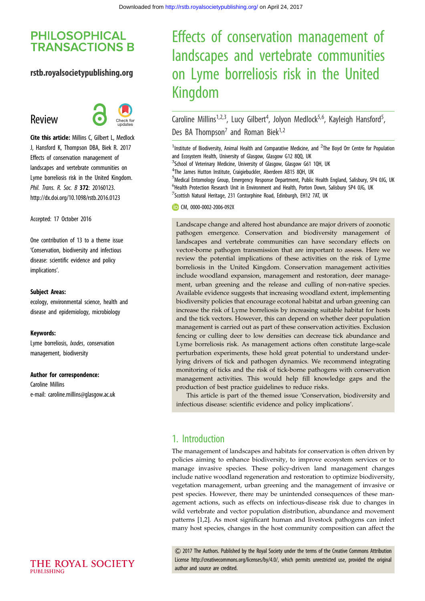# **PHILOSOPHICAL TRANSACTIONS B**

### rstb.royalsocietypublishing.org

# Review



Cite this article: Millins C, Gilbert L, Medlock J, Hansford K, Thompson DBA, Biek R. 2017 Effects of conservation management of landscapes and vertebrate communities on Lyme borreliosis risk in the United Kingdom. Phil. Trans. R. Soc. B 372: 20160123. http://dx.doi.org/10.1098/rstb.2016.0123

Accepted: 17 October 2016

One contribution of 13 to a theme issue ['Conservation, biodiversity and infectious](http://dx.doi.org/10.1098/rstb/372/1722) [disease: scientific evidence and policy](http://dx.doi.org/10.1098/rstb/372/1722) [implications'.](http://dx.doi.org/10.1098/rstb/372/1722)

#### Subject Areas:

ecology, environmental science, health and disease and epidemiology, microbiology

#### Keywords:

Lyme borreliosis, Ixodes, conservation management, biodiversity

#### Author for correspondence:

Caroline Millins e-mail: [caroline.millins@glasgow.ac.uk](mailto:caroline.millins@glasgow.ac.uk)

# Effects of conservation management of landscapes and vertebrate communities on Lyme borreliosis risk in the United Kingdom

Caroline Millins<sup>1,2,3</sup>, Lucy Gilbert<sup>4</sup>, Jolyon Medlock<sup>5,6</sup>, Kayleigh Hansford<sup>5</sup> , Des BA Thompson<sup>7</sup> and Roman Biek<sup>1,2</sup>

<sup>1</sup> Institute of Biodiversity, Animal Health and Comparative Medicine, and <sup>2</sup>The Boyd Orr Centre for Population and Ecosystem Health, University of Glasgow, Glasgow G12 8QQ, UK

<sup>3</sup>School of Veterinary Medicine, University of Glasgow, Glasgow G61 1QH, UK

<sup>4</sup>The James Hutton Institute, Craigiebuckler, Aberdeen AB15 8QH, UK

<sup>5</sup>Medical Entomology Group, Emergency Response Department, Public Health England, Salisbury, SP4 0JG, UK <sup>6</sup>Health Protection Research Unit in Environment and Health, Porton Down, Salisbury SP4 0JG, UK <sup>7</sup>Scottish Natural Heritage, 231 Corstorphine Road, Edinburgh, EH12 7AT, UK

#### CM, [0000-0002-2006-092X](http://orcid.org/0000-0002-2006-092X)

Landscape change and altered host abundance are major drivers of zoonotic pathogen emergence. Conservation and biodiversity management of landscapes and vertebrate communities can have secondary effects on vector-borne pathogen transmission that are important to assess. Here we review the potential implications of these activities on the risk of Lyme borreliosis in the United Kingdom. Conservation management activities include woodland expansion, management and restoration, deer management, urban greening and the release and culling of non-native species. Available evidence suggests that increasing woodland extent, implementing biodiversity policies that encourage ecotonal habitat and urban greening can increase the risk of Lyme borreliosis by increasing suitable habitat for hosts and the tick vectors. However, this can depend on whether deer population management is carried out as part of these conservation activities. Exclusion fencing or culling deer to low densities can decrease tick abundance and Lyme borreliosis risk. As management actions often constitute large-scale perturbation experiments, these hold great potential to understand underlying drivers of tick and pathogen dynamics. We recommend integrating monitoring of ticks and the risk of tick-borne pathogens with conservation management activities. This would help fill knowledge gaps and the production of best practice guidelines to reduce risks.

This article is part of the themed issue 'Conservation, biodiversity and infectious disease: scientific evidence and policy implications'.

## 1. Introduction

The management of landscapes and habitats for conservation is often driven by policies aiming to enhance biodiversity, to improve ecosystem services or to manage invasive species. These policy-driven land management changes include native woodland regeneration and restoration to optimize biodiversity, vegetation management, urban greening and the management of invasive or pest species. However, there may be unintended consequences of these management actions, such as effects on infectious-disease risk due to changes in wild vertebrate and vector population distribution, abundance and movement patterns [[1,2\]](#page-8-0). As most significant human and livestock pathogens can infect many host species, changes in the host community composition can affect the

& 2017 The Authors. Published by the Royal Society under the terms of the Creative Commons Attribution License [http://creativecommons.org/licenses/by/4.0/, which permits unrestricted use, provided the original](http://creativecommons.org/licenses/by/4.0/) [author and source are credited.](http://creativecommons.org/licenses/by/4.0/)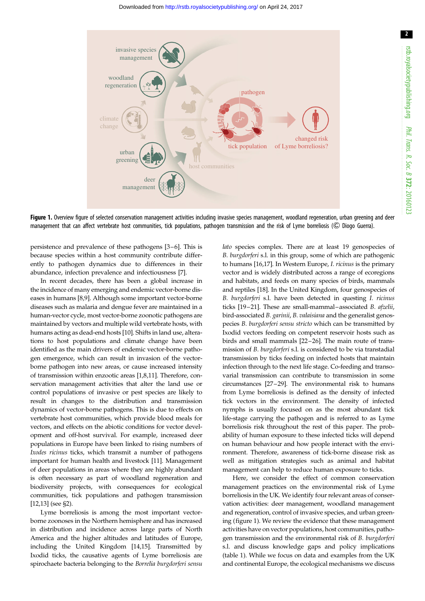<span id="page-1-0"></span>

Figure 1. Overview figure of selected conservation management activities including invasive species management, woodland regeneration, urban greening and deer management that can affect vertebrate host communities, tick populations, pathogen transmission and the risk of Lyme borreliosis (© Diogo Guerra).

persistence and prevalence of these pathogens [[3](#page-8-0)–[6\]](#page-8-0). This is because species within a host community contribute differently to pathogen dynamics due to differences in their abundance, infection prevalence and infectiousness [[7](#page-8-0)].

In recent decades, there has been a global increase in the incidence of many emerging and endemic vector-borne diseases in humans [[8,9\]](#page-8-0). Although some important vector-borne diseases such as malaria and dengue fever are maintained in a human-vector cycle, most vector-borne zoonotic pathogens are maintained by vectors and multiple wild vertebrate hosts, with humans acting as dead-end hosts [\[10](#page-8-0)]. Shifts in land use, alterations to host populations and climate change have been identified as the main drivers of endemic vector-borne pathogen emergence, which can result in invasion of the vectorborne pathogen into new areas, or cause increased intensity of transmission within enzootic areas [[1,8,11\]](#page-8-0). Therefore, conservation management activities that alter the land use or control populations of invasive or pest species are likely to result in changes to the distribution and transmission dynamics of vector-borne pathogens. This is due to effects on vertebrate host communities, which provide blood meals for vectors, and effects on the abiotic conditions for vector development and off-host survival. For example, increased deer populations in Europe have been linked to rising numbers of Ixodes ricinus ticks, which transmit a number of pathogens important for human health and livestock [[11\]](#page-8-0). Management of deer populations in areas where they are highly abundant is often necessary as part of woodland regeneration and biodiversity projects, with consequences for ecological communities, tick populations and pathogen transmission [\[12,13](#page-8-0)] (see §2).

Lyme borreliosis is among the most important vectorborne zoonoses in the Northern hemisphere and has increased in distribution and incidence across large parts of North America and the higher altitudes and latitudes of Europe, including the United Kingdom [\[14,15](#page-8-0)]. Transmitted by Ixodid ticks, the causative agents of Lyme borreliosis are spirochaete bacteria belonging to the Borrelia burgdorferi sensu lato species complex. There are at least 19 genospecies of B. burgdorferi s.l. in this group, some of which are pathogenic to humans [[16](#page-8-0),[17\]](#page-8-0). In Western Europe, I. ricinus is the primary vector and is widely distributed across a range of ecoregions and habitats, and feeds on many species of birds, mammals and reptiles [\[18](#page-8-0)]. In the United Kingdom, four genospecies of B. burgdorferi s.l. have been detected in questing I. ricinus ticks [\[19](#page-8-0)–[21](#page-8-0)]. These are small-mammal–associated B. afzelii, bird-associated B. garinii, B. valaisiana and the generalist genospecies B. burgdorferi sensu stricto which can be transmitted by Ixodid vectors feeding on competent reservoir hosts such as birds and small mammals [\[22](#page-8-0)–[26](#page-8-0)]. The main route of transmission of B. burgdorferi s.l. is considered to be via transtadial transmission by ticks feeding on infected hosts that maintain infection through to the next life stage. Co-feeding and transovarial transmission can contribute to transmission in some circumstances [[27](#page-8-0)–[29](#page-8-0)]. The environmental risk to humans from Lyme borreliosis is defined as the density of infected tick vectors in the environment. The density of infected nymphs is usually focused on as the most abundant tick life-stage carrying the pathogen and is referred to as Lyme borreliosis risk throughout the rest of this paper. The probability of human exposure to these infected ticks will depend on human behaviour and how people interact with the environment. Therefore, awareness of tick-borne disease risk as well as mitigation strategies such as animal and habitat management can help to reduce human exposure to ticks.

Here, we consider the effect of common conservation management practices on the environmental risk of Lyme borreliosis in the UK. We identify four relevant areas of conservation activities: deer management, woodland management and regeneration, control of invasive species, and urban greening (figure 1). We review the evidence that these management activities have on vector populations, host communities, pathogen transmission and the environmental risk of B. burgdorferi s.l. and discuss knowledge gaps and policy implications ([table 1\)](#page-2-0). While we focus on data and examples from the UK and continental Europe, the ecological mechanisms we discuss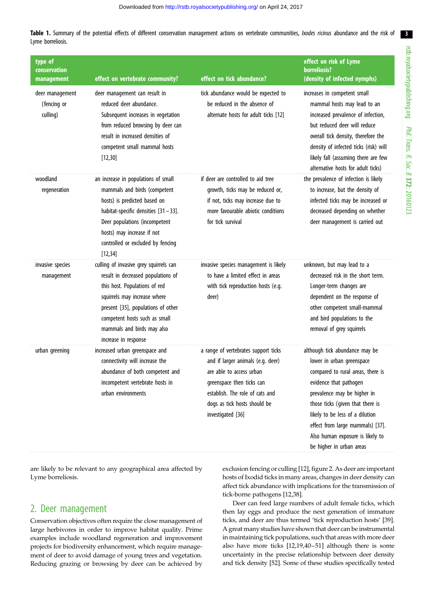<span id="page-2-0"></span>Table 1. Summary of the potential effects of different conservation management actions on vertebrate communities, Ixodes ricinus abundance and the risk of Lyme borreliosis.

| type of<br>conservation<br>management      | effect on vertebrate community?                                                                                                                                                                                                                                            | effect on tick abundance?                                                                                                                                                                                                  | effect on risk of Lyme<br>borreliosis?<br>(density of infected nymphs)                                                                                                                                                                                                                                                               |
|--------------------------------------------|----------------------------------------------------------------------------------------------------------------------------------------------------------------------------------------------------------------------------------------------------------------------------|----------------------------------------------------------------------------------------------------------------------------------------------------------------------------------------------------------------------------|--------------------------------------------------------------------------------------------------------------------------------------------------------------------------------------------------------------------------------------------------------------------------------------------------------------------------------------|
| deer management<br>(fencing or<br>culling) | deer management can result in<br>reduced deer abundance.<br>Subsequent increases in vegetation<br>from reduced browsing by deer can<br>result in increased densities of<br>competent small mammal hosts<br>[12, 30]                                                        | tick abundance would be expected to<br>be reduced in the absence of<br>alternate hosts for adult ticks [12]                                                                                                                | increases in competent small<br>mammal hosts may lead to an<br>increased prevalence of infection,<br>but reduced deer will reduce<br>overall tick density, therefore the<br>density of infected ticks (risk) will<br>likely fall (assuming there are few<br>alternative hosts for adult ticks)                                       |
| woodland<br>regeneration                   | an increase in populations of small<br>mammals and birds (competent<br>hosts) is predicted based on<br>habitat-specific densities [31-33].<br>Deer populations (incompetent<br>hosts) may increase if not<br>controlled or excluded by fencing<br>[12, 34]                 | if deer are controlled to aid tree<br>growth, ticks may be reduced or,<br>if not, ticks may increase due to<br>more favourable abiotic conditions<br>for tick survival                                                     | the prevalence of infection is likely<br>to increase, but the density of<br>infected ticks may be increased or<br>decreased depending on whether<br>deer management is carried out                                                                                                                                                   |
| invasive species<br>management             | culling of invasive grey squirrels can<br>result in decreased populations of<br>this host. Populations of red<br>squirrels may increase where<br>present [35], populations of other<br>competent hosts such as small<br>mammals and birds may also<br>increase in response | invasive species management is likely<br>to have a limited effect in areas<br>with tick reproduction hosts (e.g.<br>deer)                                                                                                  | unknown, but may lead to a<br>decreased risk in the short term.<br>Longer-term changes are<br>dependent on the response of<br>other competent small-mammal<br>and bird populations to the<br>removal of grey squirrels                                                                                                               |
| urban greening                             | increased urban greenspace and<br>connectivity will increase the<br>abundance of both competent and<br>incompetent vertebrate hosts in<br>urban environments                                                                                                               | a range of vertebrates support ticks<br>and if larger animals (e.g. deer)<br>are able to access urban<br>greenspace then ticks can<br>establish. The role of cats and<br>dogs as tick hosts should be<br>investigated [36] | although tick abundance may be<br>lower in urban greenspace<br>compared to rural areas, there is<br>evidence that pathogen<br>prevalence may be higher in<br>those ticks (given that there is<br>likely to be less of a dilution<br>effect from large mammals) [37].<br>Also human exposure is likely to<br>be higher in urban areas |

are likely to be relevant to any geographical area affected by Lyme borreliosis.

## 2. Deer management

Conservation objectives often require the close management of large herbivores in order to improve habitat quality. Prime examples include woodland regeneration and improvement projects for biodiversity enhancement, which require management of deer to avoid damage of young trees and vegetation. Reducing grazing or browsing by deer can be achieved by

exclusion fencing or culling [[12\]](#page-8-0), [figure 2](#page-3-0). As deer are important hosts of Ixodid ticks in many areas, changes in deer density can affect tick abundance with implications for the transmission of tick-borne pathogens [\[12](#page-8-0),[38](#page-9-0)].

Deer can feed large numbers of adult female ticks, which then lay eggs and produce the next generation of immature ticks, and deer are thus termed 'tick reproduction hosts' [[39\]](#page-9-0). A great many studies have shown that deer can be instrumental in maintaining tick populations, such that areas with more deer also have more ticks [\[12,19](#page-8-0),[40](#page-9-0)–[51\]](#page-9-0) although there is some uncertainty in the precise relationship between deer density and tick density [\[52](#page-9-0)]. Some of these studies specifically tested

3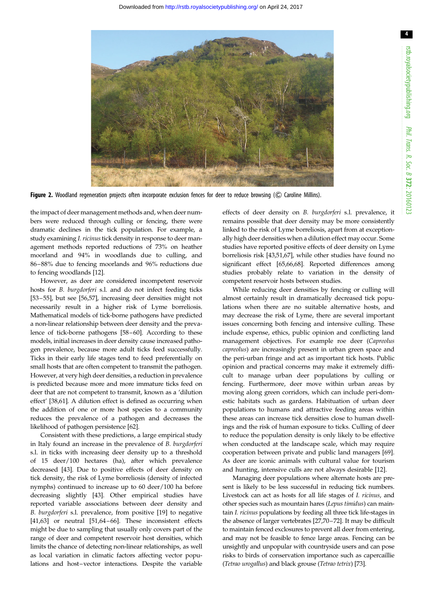<span id="page-3-0"></span>

Figure 2. Woodland regeneration projects often incorporate exclusion fences for deer to reduce browsing (© Caroline Millins).

the impact of deer management methods and, when deer numbers were reduced through culling or fencing, there were dramatic declines in the tick population. For example, a study examining I. ricinus tick density in response to deer management methods reported reductions of 73% on heather moorland and 94% in woodlands due to culling, and 86–88% due to fencing moorlands and 96% reductions due to fencing woodlands [[12\]](#page-8-0).

However, as deer are considered incompetent reservoir hosts for B. burgdorferi s.l. and do not infect feeding ticks [\[53](#page-9-0)–[55](#page-9-0)], but see [\[56,57](#page-9-0)], increasing deer densities might not necessarily result in a higher risk of Lyme borreliosis. Mathematical models of tick-borne pathogens have predicted a non-linear relationship between deer density and the prevalence of tick-borne pathogens [[58](#page-9-0)–[60\]](#page-9-0). According to these models, initial increases in deer density cause increased pathogen prevalence, because more adult ticks feed successfully. Ticks in their early life stages tend to feed preferentially on small hosts that are often competent to transmit the pathogen. However, at very high deer densities, a reduction in prevalence is predicted because more and more immature ticks feed on deer that are not competent to transmit, known as a 'dilution effect' [[38,61\]](#page-9-0). A dilution effect is defined as occurring when the addition of one or more host species to a community reduces the prevalence of a pathogen and decreases the likelihood of pathogen persistence [\[62](#page-9-0)].

Consistent with these predictions, a large empirical study in Italy found an increase in the prevalence of B. burgdorferi s.l. in ticks with increasing deer density up to a threshold of 15 deer/100 hectares (ha), after which prevalence decreased [[43\]](#page-9-0). Due to positive effects of deer density on tick density, the risk of Lyme borreliosis (density of infected nymphs) continued to increase up to 60 deer/100 ha before decreasing slightly [\[43](#page-9-0)]. Other empirical studies have reported variable associations between deer density and B. burgdorferi s.l. prevalence, from positive [[19\]](#page-8-0) to negative [\[41](#page-9-0),[63\]](#page-9-0) or neutral [\[51,64](#page-9-0)-[66\]](#page-9-0). These inconsistent effects might be due to sampling that usually only covers part of the range of deer and competent reservoir host densities, which limits the chance of detecting non-linear relationships, as well as local variation in climatic factors affecting vector populations and host–vector interactions. Despite the variable effects of deer density on B. burgdorferi s.l. prevalence, it remains possible that deer density may be more consistently linked to the risk of Lyme borreliosis, apart from at exceptionally high deer densities when a dilution effect may occur. Some studies have reported positive effects of deer density on Lyme borreliosis risk [[43,51,67](#page-9-0)], while other studies have found no significant effect [\[65,66](#page-9-0),[68](#page-9-0)]. Reported differences among studies probably relate to variation in the density of competent reservoir hosts between studies.

While reducing deer densities by fencing or culling will almost certainly result in dramatically decreased tick populations when there are no suitable alternative hosts, and may decrease the risk of Lyme, there are several important issues concerning both fencing and intensive culling. These include expense, ethics, public opinion and conflicting land management objectives. For example roe deer (Capreolus capreolus) are increasingly present in urban green space and the peri-urban fringe and act as important tick hosts. Public opinion and practical concerns may make it extremely difficult to manage urban deer populations by culling or fencing. Furthermore, deer move within urban areas by moving along green corridors, which can include peri-domestic habitats such as gardens. Habituation of urban deer populations to humans and attractive feeding areas within these areas can increase tick densities close to human dwellings and the risk of human exposure to ticks. Culling of deer to reduce the population density is only likely to be effective when conducted at the landscape scale, which may require cooperation between private and public land managers [[69\]](#page-10-0). As deer are iconic animals with cultural value for tourism and hunting, intensive culls are not always desirable [\[12](#page-8-0)].

Managing deer populations where alternate hosts are present is likely to be less successful in reducing tick numbers. Livestock can act as hosts for all life stages of I. ricinus, and other species such as mountain hares (Lepus timidus) can maintain I. ricinus populations by feeding all three tick life-stages in the absence of larger vertebrates [\[27](#page-8-0)[,70](#page-10-0)–[72](#page-10-0)]. It may be difficult to maintain fenced exclosures to prevent all deer from entering, and may not be feasible to fence large areas. Fencing can be unsightly and unpopular with countryside users and can pose risks to birds of conservation importance such as capercaillie (Tetrao urogallus) and black grouse (Tetrao tetrix) [[73](#page-10-0)].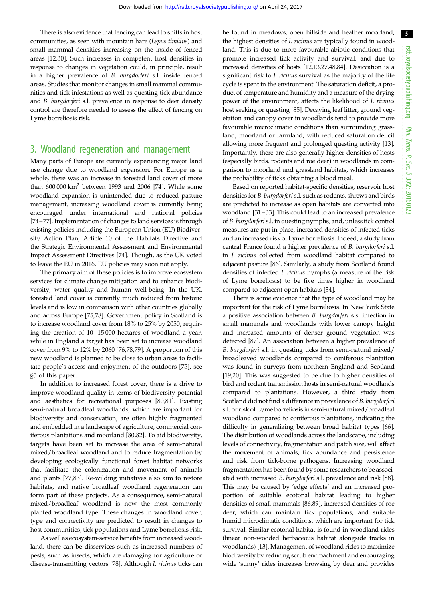There is also evidence that fencing can lead to shifts in host communities, as seen with mountain hare (Lepus timidus) and small mammal densities increasing on the inside of fenced areas [\[12](#page-8-0),[30](#page-9-0)]. Such increases in competent host densities in response to changes in vegetation could, in principle, result in a higher prevalence of B. burgdorferi s.l. inside fenced areas. Studies that monitor changes in small mammal communities and tick infestations as well as questing tick abundance and B. burgdorferi s.l. prevalence in response to deer density control are therefore needed to assess the effect of fencing on Lyme borreliosis risk.

## 3. Woodland regeneration and management

Many parts of Europe are currently experiencing major land use change due to woodland expansion. For Europe as a whole, there was an increase in forested land cover of more than  $600000 \text{ km}^2$  between 1993 and 2006 [[74](#page-10-0)]. While some woodland expansion is unintended due to reduced pasture management, increasing woodland cover is currently being encouraged under international and national policies [\[74](#page-10-0)–[77](#page-10-0)]. Implementation of changes to land services is through existing policies including the European Union (EU) Biodiversity Action Plan, Article 10 of the Habitats Directive and the Strategic Environmental Assessment and Environmental Impact Assessment Directives [\[74](#page-10-0)]. Though, as the UK voted to leave the EU in 2016, EU policies may soon not apply.

The primary aim of these policies is to improve ecosystem services for climate change mitigation and to enhance biodiversity, water quality and human well-being. In the UK, forested land cover is currently much reduced from historic levels and is low in comparison with other countries globally and across Europe [[75,78](#page-10-0)]. Government policy in Scotland is to increase woodland cover from 18% to 25% by 2050, requiring the creation of 10-15 000 hectares of woodland a year, while in England a target has been set to increase woodland cover from 9% to 12% by 2060 [[76,78,79](#page-10-0)]. A proportion of this new woodland is planned to be close to urban areas to facilitate people's access and enjoyment of the outdoors [[75\]](#page-10-0), see §5 of this paper.

In addition to increased forest cover, there is a drive to improve woodland quality in terms of biodiversity potential and aesthetics for recreational purposes [[80,81\]](#page-10-0). Existing semi-natural broadleaf woodlands, which are important for biodiversity and conservation, are often highly fragmented and embedded in a landscape of agriculture, commercial coniferous plantations and moorland [\[80](#page-10-0),[82\]](#page-10-0). To aid biodiversity, targets have been set to increase the area of semi-natural mixed/broadleaf woodland and to reduce fragmentation by developing ecologically functional forest habitat networks that facilitate the colonization and movement of animals and plants [\[77](#page-10-0),[83\]](#page-10-0). Re-wilding initiatives also aim to restore habitats, and native broadleaf woodland regeneration can form part of these projects. As a consequence, semi-natural mixed/broadleaf woodland is now the most commonly planted woodland type. These changes in woodland cover, type and connectivity are predicted to result in changes to host communities, tick populations and Lyme borreliosis risk.

As well as ecosystem-service benefits from increased woodland, there can be disservices such as increased numbers of pests, such as insects, which are damaging for agriculture or disease-transmitting vectors [\[78](#page-10-0)]. Although I. ricinus ticks can be found in meadows, open hillside and heather moorland, the highest densities of I. ricinus are typically found in woodland. This is due to more favourable abiotic conditions that promote increased tick activity and survival, and due to increased densities of hosts [[12,13,27](#page-8-0)[,48](#page-9-0)[,84](#page-10-0)]. Desiccation is a significant risk to *I. ricinus* survival as the majority of the life cycle is spent in the environment. The saturation deficit, a product of temperature and humidity and a measure of the drying power of the environment, affects the likelihood of I. ricinus host seeking or questing [\[85](#page-10-0)]. Decaying leaf litter, ground vegetation and canopy cover in woodlands tend to provide more favourable microclimatic conditions than surrounding grassland, moorland or farmland, with reduced saturation deficit allowing more frequent and prolonged questing activity [[13\]](#page-8-0). Importantly, there are also generally higher densities of hosts (especially birds, rodents and roe deer) in woodlands in comparison to moorland and grassland habitats, which increases the probability of ticks obtaining a blood meal.

Based on reported habitat-specific densities, reservoir host densities for B. burgdorferi s.l. such as rodents, shrews and birds are predicted to increase as open habitats are converted into woodland [[31](#page-9-0)–[33](#page-9-0)]. This could lead to an increased prevalence of B. burgdorferi s.l. in questing nymphs, and, unless tick control measures are put in place, increased densities of infected ticks and an increased risk of Lyme borreliosis. Indeed, a study from central France found a higher prevalence of B. burgdorferi s.l. in I. ricinus collected from woodland habitat compared to adjacent pasture [[86](#page-10-0)]. Similarly, a study from Scotland found densities of infected I. ricinus nymphs (a measure of the risk of Lyme borreliosis) to be five times higher in woodland compared to adjacent open habitats [\[34](#page-9-0)].

There is some evidence that the type of woodland may be important for the risk of Lyme borreliosis. In New York State a positive association between B. burgdorferi s.s. infection in small mammals and woodlands with lower canopy height and increased amounts of denser ground vegetation was detected [[87\]](#page-10-0). An association between a higher prevalence of B. burgdorferi s.l. in questing ticks from semi-natural mixed/ broadleaved woodlands compared to coniferous plantation was found in surveys from northern England and Scotland [[19,20\]](#page-8-0). This was suggested to be due to higher densities of bird and rodent transmission hosts in semi-natural woodlands compared to plantations. However, a third study from Scotland did not find a difference in prevalence of B. burgdorferi s.l. or risk of Lyme borreliosis in semi-natural mixed/broadleaf woodland compared to coniferous plantations, indicating the difficulty in generalizing between broad habitat types [[66\]](#page-9-0). The distribution of woodlands across the landscape, including levels of connectivity, fragmentation and patch size, will affect the movement of animals, tick abundance and persistence and risk from tick-borne pathogens. Increasing woodland fragmentation has been found by some researchers to be associated with increased B. burgdorferi s.l. prevalence and risk [[88\]](#page-10-0). This may be caused by 'edge effects' and an increased proportion of suitable ecotonal habitat leading to higher densities of small mammals [[86](#page-10-0),[89\]](#page-10-0), increased densities of roe deer, which can maintain tick populations, and suitable humid microclimatic conditions, which are important for tick survival. Similar ecotonal habitat is found in woodland rides (linear non-wooded herbaceous habitat alongside tracks in woodlands) [\[13](#page-8-0)]. Management of woodland rides to maximize biodiversity by reducing scrub encroachment and encouraging wide 'sunny' rides increases browsing by deer and provides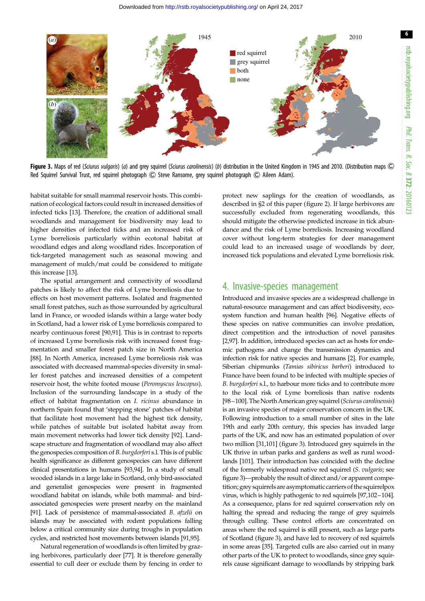

Figure 3. Maps of red (Sciurus vulgaris) (a) and grey squirrel (Sciurus carolinensis) (b) distribution in the United Kingdom in 1945 and 2010. (Distribution maps  $\odot$ Red Squirrel Survival Trust, red squirrel photograph  $\odot$  Steve Ransome, grey squirrel photograph  $\odot$  Aileen Adam).

habitat suitable for small mammal reservoir hosts. This combination of ecological factors could result in increased densities of infected ticks [\[13](#page-8-0)]. Therefore, the creation of additional small woodlands and management for biodiversity may lead to higher densities of infected ticks and an increased risk of Lyme borreliosis particularly within ecotonal habitat at woodland edges and along woodland rides. Incorporation of tick-targeted management such as seasonal mowing and management of mulch/mat could be considered to mitigate this increase [[13\]](#page-8-0).

The spatial arrangement and connectivity of woodland patches is likely to affect the risk of Lyme borreliosis due to effects on host movement patterns. Isolated and fragmented small forest patches, such as those surrounded by agricultural land in France, or wooded islands within a large water body in Scotland, had a lower risk of Lyme borreliosis compared to nearby continuous forest [\[90,91](#page-10-0)]. This is in contrast to reports of increased Lyme borreliosis risk with increased forest fragmentation and smaller forest patch size in North America [\[88](#page-10-0)]. In North America, increased Lyme borreliosis risk was associated with decreased mammal-species diversity in smaller forest patches and increased densities of a competent reservoir host, the white footed mouse (Peromyscus leucopus). Inclusion of the surrounding landscape in a study of the effect of habitat fragmentation on I. ricinus abundance in northern Spain found that 'stepping stone' patches of habitat that facilitate host movement had the highest tick density, while patches of suitable but isolated habitat away from main movement networks had lower tick density [\[92](#page-10-0)]. Landscape structure and fragmentation of woodland may also affect the genospecies composition of B. burgdorferi s.l. This is of public health significance as different genospecies can have different clinical presentations in humans [\[93,94\]](#page-10-0). In a study of small wooded islands in a large lake in Scotland, only bird-associated and generalist genospecies were present in fragmented woodland habitat on islands, while both mammal- and birdassociated genospecies were present nearby on the mainland [\[91](#page-10-0)]. Lack of persistence of mammal-associated B. afzelii on islands may be associated with rodent populations falling below a critical community size during troughs in population cycles, and restricted host movements between islands [\[91,95\]](#page-10-0).

Natural regeneration of woodlands is often limited by grazing herbivores, particularly deer [\[77](#page-10-0)]. It is therefore generally essential to cull deer or exclude them by fencing in order to

protect new saplings for the creation of woodlands, as described in §2 of this paper ([figure 2](#page-3-0)). If large herbivores are successfully excluded from regenerating woodlands, this should mitigate the otherwise predicted increase in tick abundance and the risk of Lyme borreliosis. Increasing woodland cover without long-term strategies for deer management could lead to an increased usage of woodlands by deer, increased tick populations and elevated Lyme borreliosis risk.

## 4. Invasive-species management

Introduced and invasive species are a widespread challenge in natural-resource management and can affect biodiversity, ecosystem function and human health [\[96\]](#page-10-0). Negative effects of these species on native communities can involve predation, direct competition and the introduction of novel parasites [[2](#page-8-0)[,97\]](#page-10-0). In addition, introduced species can act as hosts for endemic pathogens and change the transmission dynamics and infection risk for native species and humans [\[2\]](#page-8-0). For example, Siberian chipmunks (Tamias sibiricus barberi) introduced to France have been found to be infected with multiple species of B. burgdorferi s.l., to harbour more ticks and to contribute more to the local risk of Lyme borreliosis than native rodents [[98](#page-10-0)–[100\]](#page-10-0). The North American grey squirrel (Sciurus carolinensis) is an invasive species of major conservation concern in the UK. Following introduction to a small number of sites in the late 19th and early 20th century, this species has invaded large parts of the UK, and now has an estimated population of over two million [[31,](#page-9-0)[101\]](#page-10-0) (figure 3). Introduced grey squirrels in the UK thrive in urban parks and gardens as well as rural woodlands [\[101\]](#page-10-0). Their introduction has coincided with the decline of the formerly widespread native red squirrel (S. vulgaris; see figure 3)—probably the result of direct and/or apparent competition; grey squirrels are asymptomatic carriers of the squirrelpox virus, which is highly pathogenic to red squirrels [\[97,102](#page-10-0)–[104\]](#page-10-0). As a consequence, plans for red squirrel conservation rely on halting the spread and reducing the range of grey squirrels through culling. These control efforts are concentrated on areas where the red squirrel is still present, such as large parts of Scotland (figure 3), and have led to recovery of red squirrels in some areas [\[35\]](#page-9-0). Targeted culls are also carried out in many other parts of the UK to protect to woodlands, since grey squirrels cause significant damage to woodlands by stripping bark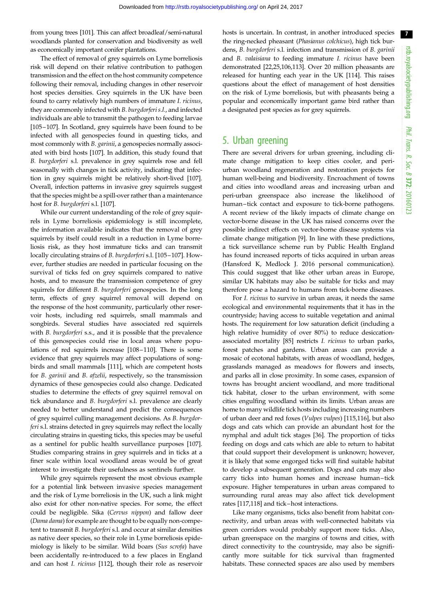from young trees [[101\]](#page-10-0). This can affect broadleaf/semi-natural woodlands planted for conservation and biodiversity as well as economically important conifer plantations.

The effect of removal of grey squirrels on Lyme borreliosis risk will depend on their relative contribution to pathogen transmission and the effect on the host community competence following their removal, including changes in other reservoir host species densities. Grey squirrels in the UK have been found to carry relatively high numbers of immature I. ricinus, they are commonly infected with B. burgdorferi s.l., and infected individuals are able to transmit the pathogen to feeding larvae [\[105](#page-10-0)–[107](#page-11-0)]. In Scotland, grey squirrels have been found to be infected with all genospecies found in questing ticks, and most commonly with B. garinii, a genospecies normally associated with bird hosts [[107\]](#page-11-0). In addition, this study found that B. burgdorferi s.l. prevalence in grey squirrels rose and fell seasonally with changes in tick activity, indicating that infection in grey squirrels might be relatively short-lived [\[107](#page-11-0)]. Overall, infection patterns in invasive grey squirrels suggest that the species might be a spill-over rather than a maintenance host for B. burgdorferi s.l. [[107](#page-11-0)].

While our current understanding of the role of grey squirrels in Lyme borreliosis epidemiology is still incomplete, the information available indicates that the removal of grey squirrels by itself could result in a reduction in Lyme borreliosis risk, as they host immature ticks and can transmit locally circulating strains of B. burgdorferi s.l. [\[105](#page-10-0)–107]. However, further studies are needed in particular focusing on the survival of ticks fed on grey squirrels compared to native hosts, and to measure the transmission competence of grey squirrels for different B. burgdorferi genospecies. In the long term, effects of grey squirrel removal will depend on the response of the host community, particularly other reservoir hosts, including red squirrels, small mammals and songbirds. Several studies have associated red squirrels with *B. burgdorferi* s.s., and it is possible that the prevalence of this genospecies could rise in local areas where populations of red squirrels increase [\[108](#page-11-0) –[110\]](#page-11-0). There is some evidence that grey squirrels may affect populations of songbirds and small mammals [[111](#page-11-0)], which are competent hosts for B. garinii and B. afzelii, respectively, so the transmission dynamics of these genospecies could also change. Dedicated studies to determine the effects of grey squirrel removal on tick abundance and B. burgdorferi s.l. prevalence are clearly needed to better understand and predict the consequences of grey squirrel culling management decisions. As B. burgdorferi s.l. strains detected in grey squirrels may reflect the locally circulating strains in questing ticks, this species may be useful as a sentinel for public health surveillance purposes [[107](#page-11-0)]. Studies comparing strains in grey squirrels and in ticks at a finer scale within local woodland areas would be of great interest to investigate their usefulness as sentinels further.

While grey squirrels represent the most obvious example for a potential link between invasive species management and the risk of Lyme borreliosis in the UK, such a link might also exist for other non-native species. For some, the effect could be negligible. Sika (Cervus nippon) and fallow deer (Dama dama) for example are thought to be equally non-competent to transmit B. burgdorferi s.l. and occur at similar densities as native deer species, so their role in Lyme borreliosis epidemiology is likely to be similar. Wild boars (Sus scrofa) have been accidentally re-introduced to a few places in England and can host I. ricinus [\[112](#page-11-0)], though their role as reservoir

hosts is uncertain. In contrast, in another introduced species the ring-necked pheasant (Phasianus colchicus), high tick burdens, B. burgdorferi s.l. infection and transmission of B. garinii and B. valaisiana to feeding immature I. ricinus have been demonstrated [[22,25](#page-8-0)[,106](#page-10-0),[113\]](#page-11-0). Over 20 million pheasants are released for hunting each year in the UK [[114](#page-11-0)]. This raises questions about the effect of management of host densities on the risk of Lyme borreliosis, but with pheasants being a popular and economically important game bird rather than a designated pest species as for grey squirrels.

# 5. Urban greening

There are several drivers for urban greening, including climate change mitigation to keep cities cooler, and periurban woodland regeneration and restoration projects for human well-being and biodiversity. Encroachment of towns and cities into woodland areas and increasing urban and peri-urban greenspace also increase the likelihood of human-tick contact and exposure to tick-borne pathogens. A recent review of the likely impacts of climate change on vector-borne disease in the UK has raised concerns over the possible indirect effects on vector-borne disease systems via climate change mitigation [[9](#page-8-0)]. In line with these predictions, a tick surveillance scheme run by Public Health England has found increased reports of ticks acquired in urban areas (Hansford K, Medlock J. 2016 personal communication). This could suggest that like other urban areas in Europe, similar UK habitats may also be suitable for ticks and may therefore pose a hazard to humans from tick-borne diseases.

For I. ricinus to survive in urban areas, it needs the same ecological and environmental requirements that it has in the countryside; having access to suitable vegetation and animal hosts. The requirement for low saturation deficit (including a high relative humidity of over 80%) to reduce desiccationassociated mortality [\[85](#page-10-0)] restricts I. ricinus to urban parks, forest patches and gardens. Urban areas can provide a mosaic of ecotonal habitats, with areas of woodland, hedges, grasslands managed as meadows for flowers and insects, and parks all in close proximity. In some cases, expansion of towns has brought ancient woodland, and more traditional tick habitat, closer to the urban environment, with some cities engulfing woodland within its limits. Urban areas are home to many wildlife tick hosts including increasing numbers of urban deer and red foxes (Vulpes vulpes) [\[115](#page-11-0),[116\]](#page-11-0), but also dogs and cats which can provide an abundant host for the nymphal and adult tick stages [[36](#page-9-0)]. The proportion of ticks feeding on dogs and cats which are able to return to habitat that could support their development is unknown; however, it is likely that some engorged ticks will find suitable habitat to develop a subsequent generation. Dogs and cats may also carry ticks into human homes and increase human-tick exposure. Higher temperatures in urban areas compared to surrounding rural areas may also affect tick development rates [\[117,118](#page-11-0)] and tick–host interactions.

Like many organisms, ticks also benefit from habitat connectivity, and urban areas with well-connected habitats via green corridors would probably support more ticks. Also, urban greenspace on the margins of towns and cities, with direct connectivity to the countryside, may also be significantly more suitable for tick survival than fragmented habitats. These connected spaces are also used by members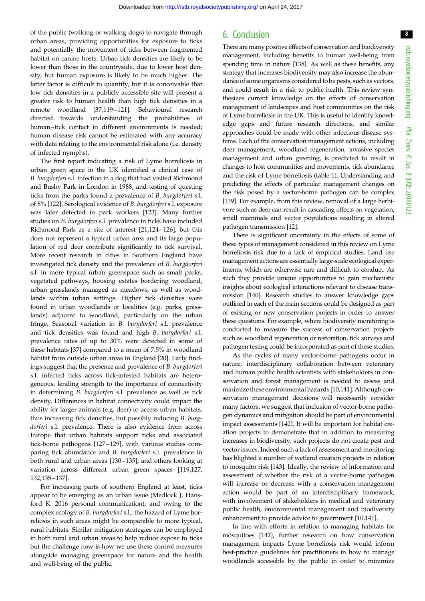of the public (walking or walking dogs) to navigate through urban areas, providing opportunities for exposure to ticks and potentially the movement of ticks between fragmented habitat on canine hosts. Urban tick densities are likely to be lower than those in the countryside, due to lower host density, but human exposure is likely to be much higher. The latter factor is difficult to quantify, but it is conceivable that low tick densities in a publicly accessible site will present a greater risk to human health than high tick densities in a remote woodland [[37,](#page-9-0)[119](#page-11-0) –[121](#page-11-0)]. Behavioural research directed towards understanding the probabilities of human-tick contact in different environments is needed; human disease risk cannot be estimated with any accuracy with data relating to the environmental risk alone (i.e. density of infected nymphs).

The first report indicating a risk of Lyme borreliosis in urban green space in the UK identified a clinical case of B. burgdorferi s.l. infection in a dog that had visited Richmond and Bushy Park in London in 1988, and testing of questing ticks from the parks found a prevalence of B. burgdorferi s.l. of 8% [[122](#page-11-0)]. Serological evidence of B. burgdorferi s.l. exposure was later detected in park workers [\[123\]](#page-11-0). Many further studies on B. burgdorferi s.l. prevalence in ticks have included Richmond Park as a site of interest [[21,](#page-8-0)[124](#page-11-0) –[126](#page-11-0)], but this does not represent a typical urban area and its large population of red deer contribute significantly to tick survival. More recent research in cities in Southern England have investigated tick density and the prevalence of B. burgdorferi s.l. in more typical urban greenspace such as small parks, vegetated pathways, housing estates bordering woodland, urban grasslands managed as meadows, as well as woodlands within urban settings. Higher tick densities were found in urban woodlands or localities (e.g. parks, grasslands) adjacent to woodland, particularly on the urban fringe. Seasonal variation in B. burgdorferi s.l. prevalence and tick densities was found and high B. burgdorferi s.l. prevalence rates of up to 30% were detected in some of these habitats [\[37](#page-9-0)] compared to a mean of 7.5% in woodland habitat from outside urban areas in England [\[20](#page-8-0)]. Early findings suggest that the presence and prevalence of B. burgdorferi s.l. infected ticks across tick-infested habitats are heterogeneous, lending strength to the importance of connectivity in determining B. burgdorferi s.l. prevalence as well as tick density. Differences in habitat connectivity could impact the ability for larger animals (e.g. deer) to access urban habitats, thus increasing tick densities, but possibly reducing B. burgdorferi s.l. prevalence. There is also evidence from across Europe that urban habitats support ticks and associated tick-borne pathogens [\[127](#page-11-0) –[129](#page-11-0)], with various studies comparing tick abundance and B. burgdorferi s.l. prevalence in both rural and urban areas [\[130](#page-11-0) –[135\]](#page-11-0), and others looking at variation across different urban green spaces [\[119](#page-11-0),[127](#page-11-0), [132,135](#page-11-0)– [137\]](#page-11-0).

For increasing parts of southern England at least, ticks appear to be emerging as an urban issue (Medlock J, Hansford K. 2016 personal communication), and owing to the complex ecology of B. burgdorferi s.l., the hazard of Lyme borreliosis in such areas might be comparable to more typical, rural habitats. Similar mitigation strategies can be employed in both rural and urban areas to help reduce expose to ticks but the challenge now is how we use these control measures alongside managing greenspace for nature and the health and well-being of the public.

## 6. Conclusion

There are many positive effects of conservation and biodiversity management, including benefits to human well-being from spending time in nature [\[138\]](#page-11-0). As well as these benefits, any strategy that increases biodiversity may also increase the abundance of some organisms considered to be pests, such as vectors, and could result in a risk to public health. This review synthesizes current knowledge on the effects of conservation management of landscapes and host communities on the risk of Lyme borreliosis in the UK. This is useful to identify knowledge gaps and future research directions, and similar approaches could be made with other infectious-disease systems. Each of the conservation management actions, including deer management, woodland regeneration, invasive species management and urban greening, is predicted to result in changes to host communities and movements, tick abundance and the risk of Lyme borreliosis ([table 1\)](#page-2-0). Understanding and predicting the effects of particular management changes on the risk posed by a vector-borne pathogen can be complex [[139\]](#page-11-0). For example, from this review, removal of a large herbivore such as deer can result in cascading effects on vegetation, small mammals and vector populations resulting in altered pathogen transmission [\[12](#page-8-0)].

There is significant uncertainty in the effects of some of these types of management considered in this review on Lyme borreliosis risk due to a lack of empirical studies. Land use management actions are essentially large-scale ecological experiments, which are otherwise rare and difficult to conduct. As such they provide unique opportunities to gain mechanistic insights about ecological interactions relevant to disease transmission [\[140](#page-11-0)]. Research studies to answer knowledge gaps outlined in each of the main sections could be designed as part of existing or new conservation projects in order to answer these questions. For example, where biodiversity monitoring is conducted to measure the success of conservation projects such as woodland regeneration or restoration, tick surveys and pathogen testing could be incorporated as part of these studies.

As the cycles of many vector-borne pathogens occur in nature, interdisciplinary collaboration between veterinary and human public health scientists with stakeholders in conservation and forest management is needed to assess and minimize these environmental hazards [[10,](#page-8-0)[141](#page-11-0)]. Although conservation management decisions will necessarily consider many factors, we suggest that inclusion of vector-borne pathogen dynamics and mitigation should be part of environmental impact assessments [[142](#page-11-0)]. It will be important for habitat creation projects to demonstrate that in addition to measuring increases in biodiversity, such projects do not create pest and vector issues. Indeed such a lack of assessment and monitoring has blighted a number of wetland creation projects in relation to mosquito risk [[143](#page-11-0)]. Ideally, the review of information and assessment of whether the risk of a vector-borne pathogen will increase or decrease with a conservation management action would be part of an interdisciplinary framework, with involvement of stakeholders in medical and veterinary public health, environmental management and biodiversity enhancement to provide advice to government [\[10](#page-8-0)[,141\]](#page-11-0).

In line with efforts in relation to managing habitats for mosquitoes [[142](#page-11-0)], further research on how conservation management impacts Lyme borreliosis risk would inform best-practice guidelines for practitioners in how to manage woodlands accessible by the public in order to minimize 8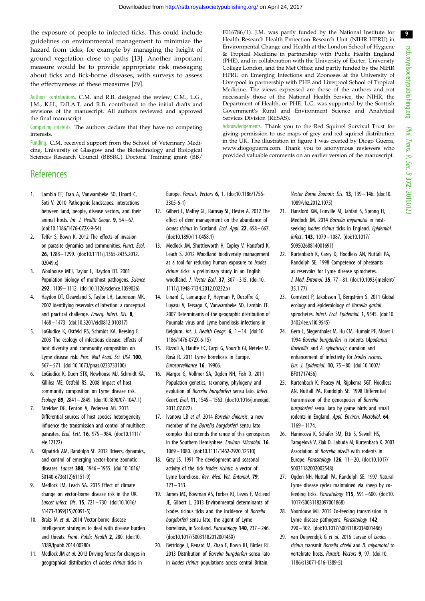<span id="page-8-0"></span>the exposure of people to infected ticks. This could include guidelines on environmental management to minimize the hazard from ticks, for example by managing the height of ground vegetation close to paths [13]. Another important measure would be to provide appropriate risk messaging about ticks and tick-borne diseases, with surveys to assess the effectiveness of these measures [\[79](#page-10-0)].

Authors' contributions. C.M. and R.B. designed the review; C.M., L.G., J.M., K.H., D.B.A.T. and R.B. contributed to the initial drafts and revisions of the manuscript. All authors reviewed and approved the final manuscript.

Competing interests. The authors declare that they have no competing interests.

Funding. C.M. received support from the School of Veterinary Medicine, University of Glasgow and the Biotechnology and Biological Sciences Research Council (BBSRC) Doctoral Training grant (BB/

**References** 

- 1. Lambin EF, Tran A, Vanwambeke SO, Linard C, Soti V. 2010 Pathogenic landscapes: interactions between land, people, disease vectors, and their animal hosts. Int. J. Health Geogr.  $9$ , 54-67. [\(doi:10.1186/1476-072X-9-54](http://dx.doi.org/10.1186/1476-072X-9-54))
- 2. Telfer S, Bown K. 2012 The effects of invasion on parasite dynamics and communities. Funct. Ecol. 26, 1288– 1299. [\(doi:10.1111/j.1365-2435.2012.](http://dx.doi.org/10.1111/j.1365-2435.2012.02049.x) [02049.x\)](http://dx.doi.org/10.1111/j.1365-2435.2012.02049.x)
- 3. Woolhouse MEJ, Taylor L, Haydon DT. 2001 Population biology of multihost pathogens. Science 292, 1109– 1112. [\(doi:10.1126/science.1059026](http://dx.doi.org/10.1126/science.1059026))
- 4. Haydon DT, Cleaveland S, Taylor LH, Laurenson MK. 2002 Identifying reservoirs of infection: a conceptual and practical challenge. Emerg. Infect. Dis. 8, 1468 – 1473. [\(doi:10.3201/eid0812.010317\)](http://dx.doi.org/10.3201/eid0812.010317)
- 5. LoGiudice K, Ostfeld RS, Schmidt KA, Keesing F. 2003 The ecology of infectious disease: effects of host diversity and community composition on Lyme disease risk. Proc. Natl Acad. Sci. USA 100, 567– 571. ([doi:10.1073/pnas.0233733100](http://dx.doi.org/10.1073/pnas.0233733100))
- 6. LoGiudice K, Duerr STK, Newhouse MJ, Schmidt KA, Killilea ME, Ostfeld RS. 2008 Impact of host community composition on Lyme disease risk. Ecology 89, 2841 – 2849. ([doi:10.1890/07-1047.1\)](http://dx.doi.org/10.1890/07-1047.1)
- 7. Streicker DG, Fenton A, Pedersen AB. 2013 Differential sources of host species heterogeneity influence the transmission and control of multihost parasites. Ecol. Lett. 16, 975 – 984. [\(doi:10.1111/](http://dx.doi.org/10.1111/ele.12122) [ele.12122\)](http://dx.doi.org/10.1111/ele.12122)
- 8. Kilpatrick AM, Randolph SE. 2012 Drivers, dynamics, and control of emerging vector-borne zoonotic diseases. Lancet 380, 1946– 1955. ([doi:10.1016/](http://dx.doi.org/10.1016/S0140-6736(12)61151-9) [S0140-6736\(12\)61151-9\)](http://dx.doi.org/10.1016/S0140-6736(12)61151-9)
- 9. Medlock JM, Leach SA. 2015 Effect of climate change on vector-borne disease risk in the UK. Lancet Infect. Dis. 15, 721– 730. [\(doi:10.1016/](http://dx.doi.org/10.1016/S1473-3099(15)70091-5) [S1473-3099\(15\)70091-5\)](http://dx.doi.org/10.1016/S1473-3099(15)70091-5)
- 10. Braks M et al. 2014 Vector-borne disease intelligence: strategies to deal with disease burden and threats. Front. Public Health 2, 280. ([doi:10.](http://dx.doi.org/10.3389/fpubh.2014.00280) [3389/fpubh.2014.00280\)](http://dx.doi.org/10.3389/fpubh.2014.00280)
- 11. Medlock JM et al. 2013 Driving forces for changes in geographical distribution of Ixodes ricinus ticks in

Europe. Parasit. Vectors 6, 1. [\(doi:10.1186/1756-](http://dx.doi.org/10.1186/1756-3305-6-1) [3305-6-1\)](http://dx.doi.org/10.1186/1756-3305-6-1)

- 12. Gilbert L, Maffey GL, Ramsay SL, Hester A. 2012 The effect of deer management on the abundance of Ixodes ricinus in Scotland. Ecol. Appl. 22, 658– 667. [\(doi:10.1890/11-0458.1](http://dx.doi.org/10.1890/11-0458.1))
- 13. Medlock JM, Shuttleworth H, Copley V, Hansford K, Leach S. 2012 Woodland biodiversity management as a tool for reducing human exposure to *lxodes* ricinus ticks: a preliminary study in an English woodland. J. Vector Ecol. 37, 307 – 315. [\(doi:10.](http://dx.doi.org/10.1111/j.1948-7134.2012.00232.x) [1111/j.1948-7134.2012.00232.x](http://dx.doi.org/10.1111/j.1948-7134.2012.00232.x))
- 14. Linard C, Lamarque P, Heyman P, Ducoffre G, Luyasu V, Tersago K, Vanwambeke SO, Lambin EF. 2007 Determinants of the geographic distribution of Puumala virus and Lyme borreliosis infections in Belgium. Int. J. Health Geogr.  $6, 1-14.$  [\(doi:10.](http://dx.doi.org/10.1186/1476-072X-6-15) [1186/1476-072X-6-15](http://dx.doi.org/10.1186/1476-072X-6-15))
- 15. Rizzoli A, Hauffe HC, Carpi G, Vourc'h GI, Neteler M, Rosa` R. 2011 Lyme borreliosis in Europe. Eurosurveillance 16, 19906.
- 16. Margos G, Vollmer SA, Ogden NH, Fish D. 2011 Population genetics, taxonomy, phylogeny and evolution of Borrelia burgdorferi sensu lato. Infect. Genet. Evol. 11, 1545 – 1563. ([doi:10.1016/j.meegid.](http://dx.doi.org/10.1016/j.meegid.2011.07.022) [2011.07.022\)](http://dx.doi.org/10.1016/j.meegid.2011.07.022)
- 17. Ivanova LB et al. 2014 Borrelia chilensis, a new member of the Borrelia burgdorferi sensu lato complex that extends the range of this genospecies in the Southern Hemisphere. Environ. Microbiol. 16, 1069– 1080. [\(doi:10.1111/1462-2920.12310\)](http://dx.doi.org/10.1111/1462-2920.12310)
- 18. Gray JS. 1991 The development and seasonal activity of the tick Ixodes ricinus: a vector of Lyme borreliosis. Rev. Med. Vet. Entomol. 79, 323 – 333.
- 19. James MC, Bowman AS, Forbes KJ, Lewis F, McLeod JE, Gilbert L. 2013 Environmental determinants of Ixodes ricinus ticks and the incidence of Borrelia burgdorferi sensu lato, the agent of Lyme borreliosis, in Scotland. Parasitology 140, 237– 246. [\(doi:10.1017/S003118201200145X](http://dx.doi.org/10.1017/S003118201200145X))
- 20. Bettridge J, Renard M, Zhao F, Bown KJ, Birtles RJ. 2013 Distribution of Borrelia burgdorferi sensu lato in *Ixodes ricinus* populations across central Britain.

F016786/1). J.M. was partly funded by the National Institute for Health Research Health Protection Research Unit (NIHR HPRU) in Environmental Change and Health at the London School of Hygiene & Tropical Medicine in partnership with Public Health England (PHE), and in collaboration with the University of Exeter, University College London, and the Met Office; and partly funded by the NIHR HPRU on Emerging Infections and Zoonoses at the University of Liverpool in partnership with PHE and Liverpool School of Tropical Medicine. The views expressed are those of the authors and not necessarily those of the National Health Service, the NIHR, the Department of Health, or PHE. L.G. was supported by the Scottish Government's Rural and Environment Science and Analytical Services Division (RESAS).

Acknowledgements. Thank you to the Red Squirrel Survival Trust for giving permission to use maps of grey and red squirrel distribution in the UK. The illustration in [figure 1](#page-1-0) was created by Diogo Guerra, [www.diogoguerra.com.](http://www.diogoguerra.com) Thank you to anonymous reviewers who provided valuable comments on an earlier version of the manuscript.

> Vector Borne Zoonotic Dis. 13, 139– 146. ([doi:10.](http://dx.doi.org/10.1089/vbz.2012.1075) [1089/vbz.2012.1075](http://dx.doi.org/10.1089/vbz.2012.1075))

- 21. Hansford KM, Fonville M, Jahfari S, Sprong H, Medlock JM. 2014 Borrelia miyamotoi in hostseeking *Ixodes ricinus* ticks in England. Epidemiol. Infect. 143, 1079 – 1087. [\(doi:10.1017/](http://dx.doi.org/10.1017/S0950268814001691) [S0950268814001691\)](http://dx.doi.org/10.1017/S0950268814001691)
- 22. Kurtenbach K, Carey D, Hoodless AN, Nuttall PA, Randolph SE. 1998 Competence of pheasants as reservoirs for Lyme disease spirochetes. J. Med. Entomol. 35, 77 – 81. ([doi:10.1093/jmedent/](http://dx.doi.org/10.1093/jmedent/35.1.77) [35.1.77\)](http://dx.doi.org/10.1093/jmedent/35.1.77)
- 23. Comstedt P, Jakobsson T, Bergström S. 2011 Global ecology and epidemiology of Borrelia garinii spirochetes. Infect. Ecol. Epidemiol. 1, 9545. [\(doi:10.](http://dx.doi.org/10.3402/iee.v1i0.9545) [3402/iee.v1i0.9545\)](http://dx.doi.org/10.3402/iee.v1i0.9545)
- 24. Gern L, Siegenthaler M, Hu CM, Humair PF, Moret J. 1994 Borrelia burgdorferi in rodents (Apodemus flavicollis and A. sylvaticus): duration and enhancement of infectivity for Ixodes ricinus. Eur. J. Epidemiol. 10, 75 – 80. ([doi:10.1007/](http://dx.doi.org/10.1007/BF01717456) [BF01717456](http://dx.doi.org/10.1007/BF01717456))
- 25. Kurtenbach K, Peacey M, Rijpkema SGT, Hoodless AN, Nuttall PA, Randolph SE. 1998 Differential transmission of the genospecies of Borrelia burgdorferi sensu lato by game birds and small rodents in England. Appl. Environ. Microbiol. 64, 1169– 1174.
- 26. Hanincová K, Schäfer SM, Etti S, Sewell HS, Taragelová V, Ziak D, Labuda M, Kurtenbach K. 2003 Association of Borrelia afzelii with rodents in Europe. Parasitology 126, 11 – 20. ([doi:10.1017/](http://dx.doi.org/10.1017/S0031182002002548) [S0031182002002548\)](http://dx.doi.org/10.1017/S0031182002002548)
- 27. Ogden NH, Nuttall PA, Randolph SE. 1997 Natural Lyme disease cycles maintained via sheep by co-feeding ticks. Parasitology 115, 591-600. [\(doi:10.](http://dx.doi.org/10.1017/S0031182097001868) [1017/S0031182097001868\)](http://dx.doi.org/10.1017/S0031182097001868)
- 28. Voordouw MJ. 2015 Co-feeding transmission in Lyme disease pathogens. Parasitology 142, 290– 302. [\(doi:10.1017/S0031182014001486\)](http://dx.doi.org/10.1017/S0031182014001486)
- 29. van Duijvendijk G et al. 2016 Larvae of Ixodes ricinus transmit Borrelia afzelii and B. miyamotoi to vertebrate hosts. Parasit. Vectors 9, 97. [\(doi:10.](http://dx.doi.org/10.1186/s13071-016-1389-5) [1186/s13071-016-1389-5](http://dx.doi.org/10.1186/s13071-016-1389-5))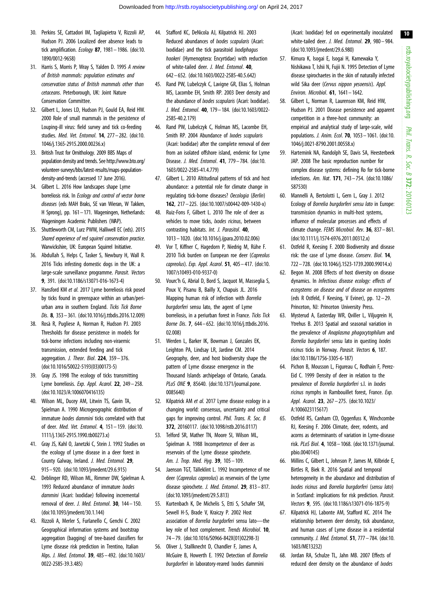- <span id="page-9-0"></span>30. Perkins SE, Cattadori IM, Tagliapietra V, Rizzoli AP, Hudson PJ. 2006 Localized deer absence leads to tick amplification. Ecology 87, 1981-1986. ([doi:10.](http://dx.doi.org/10.1890/0012-9658) [1890/0012-9658](http://dx.doi.org/10.1890/0012-9658))
- 31. Harris S, Morris P, Wray S, Yalden D. 1995 A review of British mammals: population estimates and conservation status of British mammals other than cetaceans. Peterborough, UK: Joint Nature Conservation Committee.
- 32. Gilbert L, Jones LD, Hudson PJ, Gould EA, Reid HW. 2000 Role of small mammals in the persistence of Louping-ill virus: field survey and tick co-feeding studies. Med. Vet. Entomol. 14, 277– 282. ([doi:10.](http://dx.doi.org/10.1046/j.1365-2915.2000.00236.x) [1046/j.1365-2915.2000.00236.x](http://dx.doi.org/10.1046/j.1365-2915.2000.00236.x))
- 33. British Trust for Ornithology. 2009 BBS Maps of population density and trends. See [http://www.bto.org/](http://www.bto.org/volunteer-surveys/bbs/latest-results/maps-population-density-and-trends) [volunteer-surveys/bbs/latest-results/maps-population](http://www.bto.org/volunteer-surveys/bbs/latest-results/maps-population-density-and-trends)[density-and-trends](http://www.bto.org/volunteer-surveys/bbs/latest-results/maps-population-density-and-trends) (accessed 17 June 2016).
- 34. Gilbert L. 2016 How landscapes shape Lyme borreliosis risk. In Ecology and control of vector borne diseases (eds MAH Braks, SE van Wieran, W Takken, H Sprong), pp. 161–171. Wageningen, Netherlands: Wageningen Academic Publishers (WAP).
- 35. Shuttleworth CM, Lurz PWW, Halliwell EC (eds). 2015 Shared experience of red squirrel conservation practice. Warwickshire, UK: European Squirrel Initiative.
- 36. Abdullah S, Helps C, Tasker S, Newbury H, Wall R. 2016 Ticks infesting domestic dogs in the UK: a large-scale surveillance programme. Parasit. Vectors 9, 391. ([doi:10.1186/s13071-016-1673-4\)](http://dx.doi.org/10.1186/s13071-016-1673-4)
- 37. Hansford KM et al. 2017 Lyme borreliosis risk posed by ticks found in greenspace within an urban/periurban area in southern England. Ticks Tick Borne Dis. 8, 353– 361. ([doi:10.1016/j.ttbdis.2016.12.009\)](http://dx.doi.org/10.1016/j.ttbdis.2016.12.009)
- 38. Rosa` R, Pugliese A, Norman R, Hudson PJ. 2003 Thresholds for disease persistence in models for tick-borne infections including non-viraemic transmission, extended feeding and tick aggregation. J. Theor. Biol. 224, 359 – 376. [\(doi:10.1016/S0022-5193\(03\)00173-5](http://dx.doi.org/10.1016/S0022-5193(03)00173-5))
- 39. Gray JS. 1998 The ecology of ticks transmitting Lyme borreliosis. Exp. Appl. Acarol. 22, 249-258. [\(doi:10.1023/A:1006070416135](http://dx.doi.org/10.1023/A:1006070416135))
- 40. Wilson ML, Ducey AM, Litwin TS, Gavin TA, Spielman A. 1990 Microgeographic distribution of immature Ixodes dammini ticks correlated with that of deer. Med. Vet. Entomol. 4, 151 – 159. ([doi:10.](http://dx.doi.org/10.1111/j.1365-2915.1990.tb00273.x) [1111/j.1365-2915.1990.tb00273.x](http://dx.doi.org/10.1111/j.1365-2915.1990.tb00273.x))
- 41. Gray JS, Kahl O, Janetzki C, Stein J. 1992 Studies on the ecology of Lyme disease in a deer forest in County Galway, Ireland. J. Med. Entomol. 29, 915– 920. ([doi:10.1093/jmedent/29.6.915](http://dx.doi.org/10.1093/jmedent/29.6.915))
- 42. Deblinger RD, Wilson ML, Rimmer DW, Spielman A. 1993 Reduced abundance of immature Ixodes dammini (Acari: Ixodidae) following incremental removal of deer. J. Med. Entomol. 30, 144– 150. [\(doi:10.1093/jmedent/30.1.144\)](http://dx.doi.org/10.1093/jmedent/30.1.144)
- 43. Rizzoli A, Merler S, Furlanello C, Genchi C. 2002 Geographical information systems and bootstrap aggregation (bagging) of tree-based classifiers for Lyme disease risk prediction in Trentino, Italian Alps. J. Med. Entomol. 39, 485– 492. ([doi:10.1603/](http://dx.doi.org/10.1603/0022-2585-39.3.485) [0022-2585-39.3.485\)](http://dx.doi.org/10.1603/0022-2585-39.3.485)
- 44. Stafford KC, DeNicola AJ, Kilpatrick HJ. 2003 Reduced abundances of Ixodes scapularis (Acari: Ixodidae) and the tick parasitoid Ixodiphagus hookeri (Hymenoptera: Encyrtidae) with reduction of white-tailed deer. J. Med. Entomol. 40, 642 – 652. [\(doi:10.1603/0022-2585-40.5.642](http://dx.doi.org/10.1603/0022-2585-40.5.642))
- 45. Rand PW, Lubelczyk C, Lavigne GR, Elias S, Holman MS, Lacombe EH, Smith RP. 2003 Deer density and the abundance of Ixodes scapularis (Acari: Ixodidae). J. Med. Entomol. 40, 179– 184. [\(doi:10.1603/0022-](http://dx.doi.org/10.1603/0022-2585-40.2.179) [2585-40.2.179](http://dx.doi.org/10.1603/0022-2585-40.2.179))
- 46. Rand PW, Lubelczyk C, Holman MS, Lacombe EH, Smith RP. 2004 Abundance of Ixodes scapularis (Acari: Ixodidae) after the complete removal of deer from an isolated offshore island, endemic for Lyme Disease. J. Med. Entomol. 41, 779 – 784. [\(doi:10.](http://dx.doi.org/10.1603/0022-2585-41.4.779) [1603/0022-2585-41.4.779](http://dx.doi.org/10.1603/0022-2585-41.4.779))
- 47. Gilbert L. 2010 Altitudinal patterns of tick and host abundance: a potential role for climate change in regulating tick-borne diseases? Oecologia (Berlin) 162, 217 – 225. [\(doi:10.1007/s00442-009-1430-x](http://dx.doi.org/10.1007/s00442-009-1430-x))
- 48. Ruiz-Fons F, Gilbert L. 2010 The role of deer as vehicles to move ticks, Ixodes ricinus, between contrasting habitats. Int. J. Parasitol. 40, 1013 – 1020. [\(doi:10.1016/j.ijpara.2010.02.006\)](http://dx.doi.org/10.1016/j.ijpara.2010.02.006)
- 49. Vor T, Kiffner C, Hagedorn P, Niedrig M, Rühe F. 2010 Tick burden on European roe deer (Capreolus  $capreolus$ ). Exp. Appl. Acarol. 51, 405 – 417. [\(doi:10.](http://dx.doi.org/10.1007/s10493-010-9337-0) [1007/s10493-010-9337-0\)](http://dx.doi.org/10.1007/s10493-010-9337-0)
- 50. Vourc'h G, Abrial D, Bord S, Jacquot M, Masseglia S, Poux V, Pisanu B, Bailly X, Chapuis JL. 2016 Mapping human risk of infection with Borrelia burgdorferi sensu lato, the agent of Lyme borreliosis, in a periurban forest in France. Ticks Tick Borne Dis. 7, 644– 652. [\(doi:10.1016/j.ttbdis.2016.](http://dx.doi.org/10.1016/j.ttbdis.2016.02.008) [02.008](http://dx.doi.org/10.1016/j.ttbdis.2016.02.008))
- 51. Werden L, Barker IK, Bowman J, Gonzales EK, Leighton PA, Lindsay LR, Jardine CM. 2014 Geography, deer, and host biodiversity shape the pattern of Lyme disease emergence in the Thousand Islands archipelago of Ontario, Canada. PLoS ONE 9, 85640. ([doi:10.1371/journal.pone.](http://dx.doi.org/10.1371/journal.pone.0085640) [0085640\)](http://dx.doi.org/10.1371/journal.pone.0085640)
- 52. Kilpatrick AM et al. 2017 Lyme disease ecology in a changing world: consensus, uncertainty and critical gaps for improving control. Phil. Trans. R. Soc. B 372, 20160117. ([doi:10.1098/rstb.2016.0117\)](http://dx.doi.org/10.1098/rstb.2016.0117)
- 53. Telford SR, Mather TN, Moore SI, Wilson ML, Spielman A. 1988 Incompetence of deer as reservoirs of the Lyme disease spirochete. Am. J. Trop. Med. Hyg. 39, 105-109.
- 54. Jaenson TGT, Tälleklint L. 1992 Incompetence of roe deer (Capreolus capreolus) as reservoirs of the Lyme disease spirochete. J. Med. Entomol. 29, 813-817. [\(doi:10.1093/jmedent/29.5.813\)](http://dx.doi.org/10.1093/jmedent/29.5.813)
- 55. Kurtenbach K, De Michelis S, Etti S, Schafer SM, Sewell H-S, Brade V, Kraiczy P. 2002 Host association of Borrelia burgdorferi sensu lato—the key role of host complement. Trends Microbiol. 10, 74 – 79. ([doi:10.1016/S0966-842X\(01\)02298-3\)](http://dx.doi.org/10.1016/S0966-842X(01)02298-3)
- 56. Oliver J, Stallknecht D, Chandler F, James A, McGuire B, Howerth E. 1992 Detection of Borrelia burgdorferi in laboratory-reared Ixodes dammini

(Acari: Ixodidae) fed on experimentally inoculated white-tailed deer. J. Med. Entomol. 29, 980-984. ([doi:10.1093/jmedent/29.6.980\)](http://dx.doi.org/10.1093/jmedent/29.6.980)

- 57. Kimura K, Isogai E, Isogai H, Kamewaka Y, Nishikawa T, Ishii N, Fujii N. 1995 Detection of Lyme disease spirochaetes in the skin of naturally infected wild Sika deer (Cervus nippon yesoensis). Appl. Environ. Microbiol. 61, 1641– 1642.
- 58. Gilbert L, Norman R, Laurenson KM, Reid HW, Hudson PJ. 2001 Disease persistence and apparent competition in a three-host community: an empirical and analytical study of large-scale, wild populations. J. Anim. Ecol. 70, 1053 – 1061. [\(doi:10.](http://dx.doi.org/10.1046/j.0021-8790.2001.00558.x) [1046/j.0021-8790.2001.00558.x\)](http://dx.doi.org/10.1046/j.0021-8790.2001.00558.x)
- 59. Hartemink NA, Randolph SE, Davis SA, Heesterbeek JAP. 2008 The basic reproduction number for complex disease systems: defining Ro for tick-borne infections. Am. Nat. 171, 743– 754. ([doi:10.1086/](http://dx.doi.org/10.1086/587530) [587530\)](http://dx.doi.org/10.1086/587530)
- 60. Mannelli A, Bertolotti L, Gern L, Gray J. 2012 Ecology of Borrelia burgdorferi sensu lato in Europe: transmission dynamics in multi-host systems, influence of molecular processes and effects of climate change. FEMS Microbiol. Rev. 36, 837 – 861. ([doi:10.1111/j.1574-6976.2011.00312.x\)](http://dx.doi.org/10.1111/j.1574-6976.2011.00312.x)
- 61. Ostfeld R, Keesing F. 2000 Biodiversity and disease risk: the case of Lyme disease. Conserv. Biol. 14, 722– 728. [\(doi:10.1046/j.1523-1739.2000.99014.x\)](http://dx.doi.org/10.1046/j.1523-1739.2000.99014.x)
- 62. Begon M. 2008 Effects of host diversity on disease dynamics. In Infectious disease ecology: effects of ecosystems on disease and of disease on ecosystems (eds R Ostfeld, F Keesing, V Eviner), pp. 12 – 29. Princeton, NJ: Princeton University Press.
- 63. Mysterud A, Easterday WR, Qviller L, Viljugrein H, Ytrehus B. 2013 Spatial and seasonal variation in the prevalence of Anaplasma phagocytophilum and Borrelia burgdorferi sensu lato in questing Ixodes ricinus ticks in Norway. Parasit. Vectors 6, 187. ([doi:10.1186/1756-3305-6-187](http://dx.doi.org/10.1186/1756-3305-6-187))
- 64. Pichon B, Mousson L, Figureau C, Rodhain F, Perez-Eid C. 1999 Density of deer in relation to the prevalence of Borrelia burgdorferi s.l. in Ixodes ricinus nymphs in Rambouillet forest, France. Exp. Appl. Acarol. 23, 267 – 275. [\(doi:10.1023/](http://dx.doi.org/10.1023/A:1006023115617) [A:1006023115617](http://dx.doi.org/10.1023/A:1006023115617))
- 65. Ostfeld RS, Canham CD, Oggenfuss K, Winchcombe RJ, Keesing F. 2006 Climate, deer, rodents, and acorns as determinants of variation in Lyme-disease risk. PLoS Biol. 4, 1058– 1068. [\(doi:10.1371/journal.](http://dx.doi.org/10.1371/journal.pbio.0040145) [pbio.0040145](http://dx.doi.org/10.1371/journal.pbio.0040145))
- 66. Millins C, Gilbert L, Johnson P, James M, Kilbride E, Birtles R, Biek R. 2016 Spatial and temporal heterogeneity in the abundance and distribution of Ixodes ricinus and Borrelia burgdorferi (sensu lato) in Scotland: implications for risk prediction. Parasit. Vectors 9, 595. [\(doi:10.1186/s13071-016-1875-9\)](http://dx.doi.org/10.1186/s13071-016-1875-9)
- 67. Kilpatrick HJ, Labonte AM, Stafford KC. 2014 The relationship between deer density, tick abundance, and human cases of Lyme disease in a residential community. J. Med. Entomol. 51, 777 – 784. [\(doi:10.](http://dx.doi.org/10.1603/ME13232) [1603/ME13232\)](http://dx.doi.org/10.1603/ME13232)
- 68. Jordan RA, Schulze TL, Jahn MB. 2007 Effects of reduced deer density on the abundance of Ixodes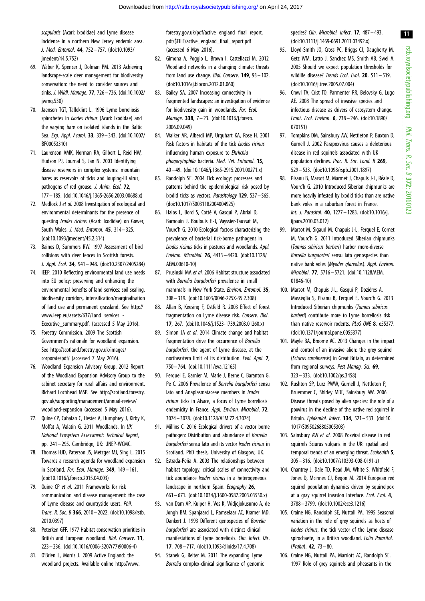<span id="page-10-0"></span>scapularis (Acari: Ixodidae) and Lyme disease incidence in a northern New Jersey endemic area. J. Med. Entomol. 44, 752 – 757. ([doi:10.1093/](http://dx.doi.org/10.1093/jmedent/44.5.752) [jmedent/44.5.752](http://dx.doi.org/10.1093/jmedent/44.5.752))

- 69. Wäber K, Spencer J, Dolman PM. 2013 Achieving landscape-scale deer management for biodiversity conservation: the need to consider sources and sinks. J. Wildl. Manage. 77, 726– 736. ([doi:10.1002/](http://dx.doi.org/10.1002/jwmg.530) [jwmg.530\)](http://dx.doi.org/10.1002/jwmg.530)
- 70. Jaenson TGT, Tälleklint L. 1996 Lyme borreliosis spirochetes in *Ixodes ricinus* (Acari: Ixodidae) and the varying hare on isolated islands in the Baltic Sea. Exp. Appl. Acarol. 33, 339– 343. ([doi:10.1007/](http://dx.doi.org/10.1007/BF00053310) [BF00053310\)](http://dx.doi.org/10.1007/BF00053310)
- 71. Laurenson AMK, Norman RA, Gilbert L, Reid HW, Hudson PJ, Journal S, Jan N. 2003 Identifying disease reservoirs in complex systems: mountain hares as reservoirs of ticks and louping-ill virus, pathogens of red grouse. J. Anim. Ecol. 72, 177– 185. ([doi:10.1046/j.1365-2656.2003.00688.x](http://dx.doi.org/10.1046/j.1365-2656.2003.00688.x))
- 72. Medlock J et al. 2008 Investigation of ecological and environmental determinants for the presence of questing Ixodes ricinus (Acari: Ixodidae) on Gower, South Wales. *J. Med. Entomol*. **45**, 314-325. [\(doi:10.1093/jmedent/45.2.314\)](http://dx.doi.org/10.1093/jmedent/45.2.314)
- 73. Baines D, Summers RW. 1997 Assessment of bird collisions with deer fences in Scottish forests. J. Appl. Ecol. 34, 941– 948. ([doi:10.2307/2405284\)](http://dx.doi.org/10.2307/2405284)
- 74. IEEP. 2010 Reflecting environmental land use needs into EU policy: preserving and enhancing the environmental benefits of land services: soil sealing, biodiversity corridors, intensification/marginalisation of land use and permanent grassland. See [http://](http://www.ieep.eu/assets/637/Land_services_-_Executive_summary.pdf) [www.ieep.eu/assets/637/Land\\_services\\_-\\_](http://www.ieep.eu/assets/637/Land_services_-_Executive_summary.pdf) [Executive\\_summary.pdf](http://www.ieep.eu/assets/637/Land_services_-_Executive_summary.pdf). (accessed 5 May 2016).
- 75. Forestry Commission. 2009 The Scottish Government's rationale for woodland expansion. See [http://scotland.forestry.gov.uk/images/](http://scotland.forestry.gov.uk/images/corporate/pdf/) [corporate/pdf/](http://scotland.forestry.gov.uk/images/corporate/pdf/) (accessed 7 May 2016).
- 76. Woodland Expansion Advisory Group. 2012 Report of the Woodland Expansion Advisory Group to the cabinet secretary for rural affairs and environment, Richard Lochhead MSP. See [http://scotland.forestry.](http://scotland.forestry.gov.uk/supporting/management/annual-review/woodland-expansion) [gov.uk/supporting/management/annual-review/](http://scotland.forestry.gov.uk/supporting/management/annual-review/woodland-expansion) [woodland-expansion](http://scotland.forestry.gov.uk/supporting/management/annual-review/woodland-expansion) (accessed 5 May 2016).
- 77. Quine CP, Cahalan C, Hester A, Humphrey J, Kirby K, Moffat A, Valatin G. 2011 Woodlands. In UK National Ecosystem Assessment: Technical Report, pp. 241 – 295. Cambridge, UK: UNEP-WCMC.
- 78. Thomas HJD, Paterson JS, Metzger MJ, Sing L. 2015 Towards a research agenda for woodland expansion in Scotland. For. Ecol. Manage. 349, 149 – 161. [\(doi:10.1016/j.foreco.2015.04.003](http://dx.doi.org/10.1016/j.foreco.2015.04.003))
- 79. Quine CP et al. 2011 Frameworks for risk communication and disease management: the case of Lyme disease and countryside users. Phil. Trans. R. Soc. B 366, 2010– 2022. ([doi:10.1098/rstb.](http://dx.doi.org/10.1098/rstb.2010.0397) [2010.0397\)](http://dx.doi.org/10.1098/rstb.2010.0397)
- 80. Peterken GFF. 1977 Habitat conservation priorities in British and European woodland. Biol. Conserv. 11, 223– 236. ([doi:10.1016/0006-3207\(77\)90006-4](http://dx.doi.org/10.1016/0006-3207(77)90006-4))
- 81. O'Brien L, Morris J. 2009 Active England: the woodland projects. Available online [http://www.](http://www.forestry.gov.uk/pdf/active_england_final_report.pdf/$FILE/active_england_final_report.pdf)

[forestry.gov.uk/pdf/active\\_england\\_final\\_report.](http://www.forestry.gov.uk/pdf/active_england_final_report.pdf/$FILE/active_england_final_report.pdf) [pdf/\\$FILE/active\\_england\\_final\\_report.pdf](http://www.forestry.gov.uk/pdf/active_england_final_report.pdf/$FILE/active_england_final_report.pdf) (accessed 6 May 2016).

- 82. Gimona A, Poggio L, Brown I, Castellazzi M. 2012 Woodland networks in a changing climate: threats from land use change. Biol. Conserv. **149**, 93 - 102. [\(doi:10.1016/j.biocon.2012.01.060\)](http://dx.doi.org/10.1016/j.biocon.2012.01.060)
- 83. Bailey SA. 2007 Increasing connectivity in fragmented landscapes: an investigation of evidence for biodiversity gain in woodlands. For. Ecol. Manage. 338, 7– 23. ([doi:10.1016/j.foreco.](http://dx.doi.org/10.1016/j.foreco.2006.09.049) [2006.09.049\)](http://dx.doi.org/10.1016/j.foreco.2006.09.049)
- 84. Walker AR, Alberdi MP, Urquhart KA, Rose H. 2001 Risk factors in habitats of the tick *Ixodes ricinus* influencing human exposure to Ehrlichia phagocytophila bacteria. Med. Vet. Entomol. 15, 40 – 49. ([doi:10.1046/j.1365-2915.2001.00271.x](http://dx.doi.org/10.1046/j.1365-2915.2001.00271.x))
- 85. Randolph SE. 2004 Tick ecology: processes and patterns behind the epidemiological risk posed by ixodid ticks as vectors. Parasitology 129, S37– S65. [\(doi:10.1017/S0031182004004925\)](http://dx.doi.org/10.1017/S0031182004004925)
- 86. Halos L, Bord S, Cotté V, Gasqui P, Abrial D, Barnouin J, Boulouis H-J, Vayssier-Taussat M, Vourc'h G. 2010 Ecological factors characterizing the prevalence of bacterial tick-borne pathogens in Ixodes ricinus ticks in pastures and woodlands. Appl. Environ. Microbiol. 76, 4413 – 4420. [\(doi:10.1128/](http://dx.doi.org/10.1128/AEM.00610-10) [AEM.00610-10\)](http://dx.doi.org/10.1128/AEM.00610-10)
- 87. Prusinski MA et al. 2006 Habitat structure associated with Borrelia burgdorferi prevalence in small mammals in New York State. *Environ. Entomol*. 35, 308 – 319. [\(doi:10.1603/0046-225X-35.2.308](http://dx.doi.org/10.1603/0046-225X-35.2.308))
- 88. Allan B, Keesing F, Ostfeld R. 2003 Effect of forest fragmentation on Lyme disease risk. Conserv. Biol. 17, 267. [\(doi:10.1046/j.1523-1739.2003.01260.x\)](http://dx.doi.org/10.1046/j.1523-1739.2003.01260.x)
- 89. Simon JA et al. 2014 Climate change and habitat fragmentation drive the occurrence of Borrelia burgdorferi, the agent of Lyme disease, at the northeastern limit of its distribution. Evol. Appl. 7, 750 – 764. [\(doi:10.1111/eva.12165\)](http://dx.doi.org/10.1111/eva.12165)
- 90. Ferquel E, Garnier M, Marie J, Berne C, Baranton G, Pe C. 2006 Prevalence of Borrelia burgdorferi sensu lato and Anaplasmataceae members in Ixodes ricinus ticks in Alsace, a focus of Lyme borreliosis endemicity in France. Appl. Environ. Microbiol. 72, 3074– 3078. [\(doi:10.1128/AEM.72.4.3074\)](http://dx.doi.org/10.1128/AEM.72.4.3074)
- 91. Millins C. 2016 Ecological drivers of a vector borne pathogen: Distribution and abundance of Borrelia burgdorferi sensu lato and its vector Ixodes ricinus in Scotland. PhD thesis, University of Glasgow, UK.
- 92. Estrada-Peña A. 2003 The relationships between habitat topology, critical scales of connectivity and tick abundance Ixodes ricinus in a heterogeneous landscape in northern Spain. Ecography 26, 661 – 671. [\(doi:10.1034/j.1600-0587.2003.03530.x](http://dx.doi.org/10.1034/j.1600-0587.2003.03530.x))
- 93. van Dam AP, Kuiper H, Vos K, Widjojokusumo A, de Jongh BM, Spanjaard L, Ramselaar AC, Kramer MD, Dankert J. 1993 Different genospecies of Borrelia burgdorferi are associated with distinct clinical manifestations of Lyme borreliosis. Clin. Infect. Dis. 17, 708– 717. ([doi:10.1093/clinids/17.4.708](http://dx.doi.org/10.1093/clinids/17.4.708))
- 94. Stanek G, Reiter M. 2011 The expanding Lyme Borrelia complex-clinical significance of genomic

species? Clin. Microbiol. Infect. 17, 487-493. ([doi:10.1111/j.1469-0691.2011.03492.x\)](http://dx.doi.org/10.1111/j.1469-0691.2011.03492.x)

- 95. Lloyd-Smith JO, Cross PC, Briggs CJ, Daugherty M, Getz WM, Latto J, Sanchez MS, Smith AB, Swei A. 2005 Should we expect population thresholds for wildlife disease? Trends Ecol. Evol. 20, 511-519. ([doi:10.1016/j.tree.2005.07.004\)](http://dx.doi.org/10.1016/j.tree.2005.07.004)
- 96. Crowl TA, Crist TO, Parmenter RR, Belovsky G, Lugo AE. 2008 The spread of invasive species and infectious disease as drivers of ecosystem change. Front. Ecol. Environ. 6, 238 – 246. [\(doi:10.1890/](http://dx.doi.org/10.1890/070151) [070151\)](http://dx.doi.org/10.1890/070151)
- 97. Tompkins DM, Sainsbury AW, Nettleton P, Buxton D, Gurnell J. 2002 Parapoxvirus causes a deleterious disease in red squirrels associated with UK population declines. Proc. R. Soc. Lond. B 269, 529– 533. [\(doi:10.1098/rspb.2001.1897\)](http://dx.doi.org/10.1098/rspb.2001.1897)
- 98. Pisanu B, Marsot M, Marmet J, Chapuis J-L, Réale D, Vourc'h G. 2010 Introduced Siberian chipmunks are more heavily infested by Ixodid ticks than are native bank voles in a suburban forest in France. Int. J. Parasitol. 40, 1277– 1283. ([doi:10.1016/j.](http://dx.doi.org/10.1016/j.ijpara.2010.03.012) iipara.2010.03.012)
- 99. Marsot M, Sigaud M, Chapuis J-L, Ferquel E, Cornet M, Vourc'h G. 2011 Introduced Siberian chipmunks (Tamias sibiricus barberi) harbor more-diverse Borrelia burgdorferi sensu lato genospecies than native bank voles (Myodes glareolus). Appl. Environ. Microbiol. 77, 5716 – 5721. [\(doi:10.1128/AEM.](http://dx.doi.org/10.1128/AEM.01846-10) [01846-10\)](http://dx.doi.org/10.1128/AEM.01846-10)
- 100. Marsot M, Chapuis J-L, Gasqui P, Dozières A, Masséglia S, Pisanu B, Ferquel E, Vourc'h G. 2013 Introduced Siberian chipmunks (Tamias sibiricus barberi) contribute more to Lyme borreliosis risk than native reservoir rodents. PLoS ONE 8, e55377. ([doi:10.1371/journal.pone.0055377](http://dx.doi.org/10.1371/journal.pone.0055377))
- 101. Mayle BA, Broome AC. 2013 Changes in the impact and control of an invasive alien: the grey squirrel (Sciurus carolinensis) in Great Britain, as determined from regional surveys. Pest Manag. Sci. 69, 323– 333. [\(doi:10.1002/ps.3458](http://dx.doi.org/10.1002/ps.3458))
- 102. Rushton SP, Lurz PWW, Gurnell J, Nettleton P, Bruemmer C, Shirley MDF, Sainsbury AW. 2006 Disease threats posed by alien species: the role of a poxvirus in the decline of the native red squirrel in Britain. Epidemiol. Infect. 134, 521– 533. [\(doi:10.](http://dx.doi.org/10.1017/S0950268805005303) [1017/S0950268805005303\)](http://dx.doi.org/10.1017/S0950268805005303)
- 103. Sainsbury AW et al. 2008 Poxviral disease in red squirrels Sciurus vulgaris in the UK: spatial and temporal trends of an emerging threat. Ecohealth 5, 305– 316. [\(doi:10.1007/s10393-008-0191-z\)](http://dx.doi.org/10.1007/s10393-008-0191-z)
- 104. Chantrey J, Dale TD, Read JM, White S, Whitfield F, Jones D, Mcinnes CJ, Begon M. 2014 European red squirrel population dynamics driven by squirrelpox at a gray squirrel invasion interface. Ecol. Evol. 4, 3788– 3799. ([doi:10.1002/ece3.1216](http://dx.doi.org/10.1002/ece3.1216))
- 105. Craine NG, Randolph SE, Nuttall PA. 1995 Seasonal variation in the role of grey squirrels as hosts of Ixodes ricinus, the tick vector of the Lyme disease spirochaete, in a British woodland. Folia Parasitol. (Praha). 42, 73 – 80.
- 106. Craine NG, Nuttall PA, Marriott AC, Randolph SE. 1997 Role of grey squirrels and pheasants in the